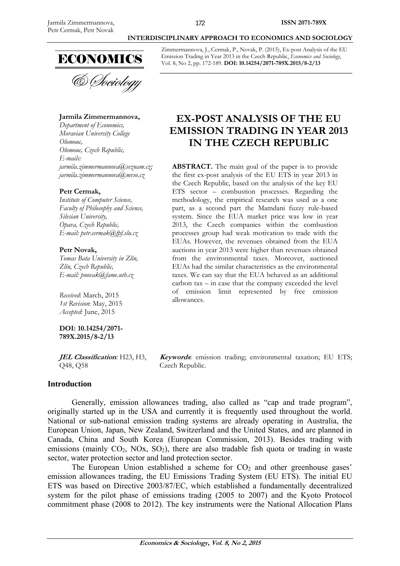

& Sociology

**Jarmila Zimmermannova,** 

*Department of Economics, Moravian University College Olomouc, Olomouc, Czech Republic, E-mails: jarmila.zimmermannova@seznam.cz; jarmila.zimmermannova@mvso.cz* 

#### **Petr Cermak,**

*Institute of Computer Science, Faculty of Philosophy and Science, Silesian University, Opava, Czech Republic, E-mail: petr.cermak@fpf.slu.cz* 

#### **Petr Novak,**

*Tomas Bata University in Zlín, Zlín, Czech Republic, E-mail: pnovak@fame.utb.cz* 

*Received*: March, 2015 *1st Revision*: May, 2015 *Accepted*: June, 2015

**DOI: 10.14254/2071- 789X.2015/8-2/13**

**JEL Classification***:* H23, H3, Q48, Q58

## **Introduction**

## **INTERDISCIPLINARY APPROACH TO ECONOMICS AND SOCIOLOGY**

Zimmermannova, J., Cermak, P., Novak, P. (2015), Ex-post Analysis of the EU Emission Trading in Year 2013 in the Czech Republic, *Economics and Sociology*, Vol. 8, No 2, pp. 172-189. **DOI: 10.14254/2071-789X.2015/8-2/13** 

# **EX-POST ANALYSIS OF THE EU EMISSION TRADING IN YEAR 2013 IN THE CZECH REPUBLIC**

**ABSTRACT.** The main goal of the paper is to provide the first ex-post analysis of the EU ETS in year 2013 in the Czech Republic, based on the analysis of the key EU ETS sector – combustion processes. Regarding the methodology, the empirical research was used as a one part, as a second part the Mamdani fuzzy rule-based system. Since the EUA market price was low in year 2013, the Czech companies within the combustion processes group had weak motivation to trade with the EUAs. However, the revenues obtained from the EUA auctions in year 2013 were higher than revenues obtained from the environmental taxes. Moreover, auctioned EUAs had the similar characteristics as the environmental taxes. We can say that the EUA behaved as an additional carbon tax – in case that the company exceeded the level of emission limit represented by free emission allowances.

**Keywords**: emission trading; environmental taxation; EU ETS; Czech Republic.

Generally, emission allowances trading, also called as "cap and trade program", originally started up in the USA and currently it is frequently used throughout the world. National or sub-national emission trading systems are already operating in Australia, the European Union, Japan, New Zealand, Switzerland and the United States, and are planned in Canada, China and South Korea (European Commission, 2013). Besides trading with emissions (mainly  $CO_2$ , NOx,  $SO_2$ ), there are also tradable fish quota or trading in waste sector, water protection sector and land protection sector.

The European Union established a scheme for  $CO<sub>2</sub>$  and other greenhouse gases' emission allowances trading, the EU Emissions Trading System (EU ETS). The initial EU ETS was based on Directive 2003/87/EC, which established a fundamentally decentralized system for the pilot phase of emissions trading (2005 to 2007) and the Kyoto Protocol commitment phase (2008 to 2012). The key instruments were the National Allocation Plans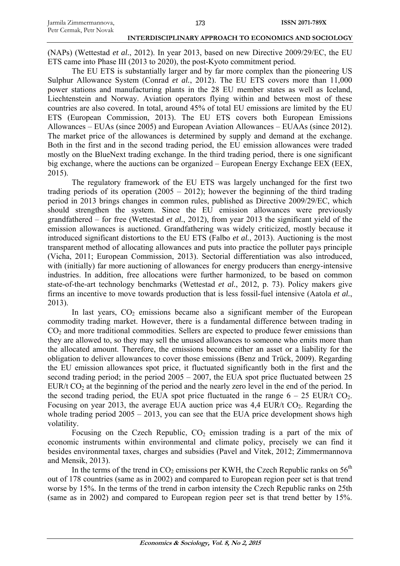(NAPs) (Wettestad *et al.*, 2012). In year 2013, based on new Directive 2009/29/EC, the EU ETS came into Phase III (2013 to 2020), the post-Kyoto commitment period.

The EU ETS is substantially larger and by far more complex than the pioneering US Sulphur Allowance System (Conrad *et al.*, 2012). The EU ETS covers more than 11,000 power stations and manufacturing plants in the 28 EU member states as well as Iceland, Liechtenstein and Norway. Aviation operators flying within and between most of these countries are also covered. In total, around 45% of total EU emissions are limited by the EU ETS (European Commission, 2013). The EU ETS covers both European Emissions Allowances – EUAs (since 2005) and European Aviation Allowances – EUAAs (since 2012). The market price of the allowances is determined by supply and demand at the exchange. Both in the first and in the second trading period, the EU emission allowances were traded mostly on the BlueNext trading exchange. In the third trading period, there is one significant big exchange, where the auctions can be organized – European Energy Exchange EEX (EEX, 2015).

The regulatory framework of the EU ETS was largely unchanged for the first two trading periods of its operation  $(2005 - 2012)$ ; however the beginning of the third trading period in 2013 brings changes in common rules, published as Directive 2009/29/EC, which should strengthen the system. Since the EU emission allowances were previously grandfathered – for free (Wettestad *et al.*, 2012), from year 2013 the significant yield of the emission allowances is auctioned. Grandfathering was widely criticized, mostly because it introduced significant distortions to the EU ETS (Falbo *et al.*, 2013). Auctioning is the most transparent method of allocating allowances and puts into practice the polluter pays principle (Vicha, 2011; European Commission, 2013). Sectorial differentiation was also introduced, with (initially) far more auctioning of allowances for energy producers than energy-intensive industries. In addition, free allocations were further harmonized, to be based on common state-of-the-art technology benchmarks (Wettestad *et al.*, 2012, p. 73). Policy makers give firms an incentive to move towards production that is less fossil-fuel intensive (Aatola *et al.*, 2013).

In last years,  $CO<sub>2</sub>$  emissions became also a significant member of the European commodity trading market. However, there is a fundamental difference between trading in CO2 and more traditional commodities. Sellers are expected to produce fewer emissions than they are allowed to, so they may sell the unused allowances to someone who emits more than the allocated amount. Therefore, the emissions become either an asset or a liability for the obligation to deliver allowances to cover those emissions (Benz and Trück, 2009). Regarding the EU emission allowances spot price, it fluctuated significantly both in the first and the second trading period; in the period  $2005 - 2007$ , the EUA spot price fluctuated between 25 EUR/t  $CO<sub>2</sub>$  at the beginning of the period and the nearly zero level in the end of the period. In the second trading period, the EUA spot price fluctuated in the range  $6 - 25$  EUR/t CO<sub>2</sub>. Focusing on year 2013, the average EUA auction price was  $4.4$  EUR/t CO<sub>2</sub>. Regarding the whole trading period  $2005 - 2013$ , you can see that the EUA price development shows high volatility.

Focusing on the Czech Republic,  $CO<sub>2</sub>$  emission trading is a part of the mix of economic instruments within environmental and climate policy, precisely we can find it besides environmental taxes, charges and subsidies (Pavel and Vitek, 2012; Zimmermannova and Mensik, 2013).

In the terms of the trend in  $CO_2$  emissions per KWH, the Czech Republic ranks on 56<sup>th</sup> out of 178 countries (same as in 2002) and compared to European region peer set is that trend worse by 15%. In the terms of the trend in carbon intensity the Czech Republic ranks on 25th (same as in 2002) and compared to European region peer set is that trend better by 15%.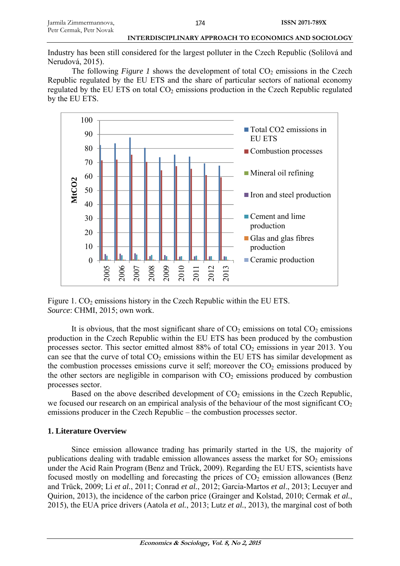Industry has been still considered for the largest polluter in the Czech Republic (Solilová and Nerudová, 2015).

The following *Figure 1* shows the development of total  $CO<sub>2</sub>$  emissions in the Czech Republic regulated by the EU ETS and the share of particular sectors of national economy regulated by the EU ETS on total  $CO<sub>2</sub>$  emissions production in the Czech Republic regulated by the EU ETS.



Figure 1.  $CO<sub>2</sub>$  emissions history in the Czech Republic within the EU ETS. *Source*: CHMI, 2015; own work.

It is obvious, that the most significant share of  $CO<sub>2</sub>$  emissions on total  $CO<sub>2</sub>$  emissions production in the Czech Republic within the EU ETS has been produced by the combustion processes sector. This sector emitted almost  $88\%$  of total  $CO<sub>2</sub>$  emissions in year 2013. You can see that the curve of total  $CO<sub>2</sub>$  emissions within the EU ETS has similar development as the combustion processes emissions curve it self; moreover the  $CO<sub>2</sub>$  emissions produced by the other sectors are negligible in comparison with  $CO<sub>2</sub>$  emissions produced by combustion processes sector.

Based on the above described development of  $CO<sub>2</sub>$  emissions in the Czech Republic, we focused our research on an empirical analysis of the behaviour of the most significant  $CO<sub>2</sub>$ emissions producer in the Czech Republic – the combustion processes sector.

#### **1. Literature Overview**

Since emission allowance trading has primarily started in the US, the majority of publications dealing with tradable emission allowances assess the market for  $SO_2$  emissions under the Acid Rain Program (Benz and Trück, 2009). Regarding the EU ETS, scientists have focused mostly on modelling and forecasting the prices of  $CO<sub>2</sub>$  emission allowances (Benz and Trück, 2009; Li *et al.*, 2011; Conrad *et al.*, 2012; Garcia-Martos *et al*., 2013; Lecuyer and Quirion, 2013), the incidence of the carbon price (Grainger and Kolstad, 2010; Cermak *et al.*, 2015), the EUA price drivers (Aatola *et al.*, 2013; Lutz *et al.*, 2013), the marginal cost of both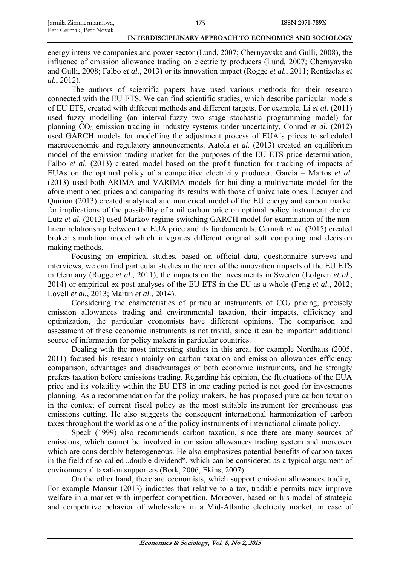energy intensive companies and power sector (Lund, 2007; Chernyavska and Gulli, 2008), the influence of emission allowance trading on electricity producers (Lund, 2007; Chernyavska and Gulli, 2008; Falbo *et al.*, 2013) or its innovation impact (Rogge *et al.*, 2011; Rentizelas *et al.*, 2012).

The authors of scientific papers have used various methods for their research connected with the EU ETS. We can find scientific studies, which describe particular models of EU ETS, created with different methods and different targets. For example, Li *et al.* (2011) used fuzzy modelling (an interval-fuzzy two stage stochastic programming model) for planning CO2 emission trading in industry systems under uncertainty, Conrad *et al*. (2012) used GARCH models for modelling the adjustment process of EUA´s prices to scheduled macroeconomic and regulatory announcements. Aatola *et al.* (2013) created an equilibrium model of the emission trading market for the purposes of the EU ETS price determination, Falbo *et al.* (2013) created model based on the profit function for tracking of impacts of EUAs on the optimal policy of a competitive electricity producer. Garcia – Martos *et al.* (2013) used both ARIMA and VARIMA models for building a multivariate model for the afore mentioned prices and comparing its results with those of univariate ones, Lecuyer and Quirion (2013) created analytical and numerical model of the EU energy and carbon market for implications of the possibility of a nil carbon price on optimal policy instrument choice. Lutz et al. (2013) used Markov regime-switching GARCH model for examination of the nonlinear relationship between the EUA price and its fundamentals. Cermak *et al.* (2015) created broker simulation model which integrates different original soft computing and decision making methods.

Focusing on empirical studies, based on official data, questionnaire surveys and interviews, we can find particular studies in the area of the innovation impacts of the EU ETS in Germany (Rogge *et al.*, 2011), the impacts on the investments in Sweden (Lofgren *et al.*, 2014) or empirical ex post analyses of the EU ETS in the EU as a whole (Feng *et al.*, 2012; Lovell *et al.*, 2013; Martin *et al.*, 2014).

Considering the characteristics of particular instruments of  $CO<sub>2</sub>$  pricing, precisely emission allowances trading and environmental taxation, their impacts, efficiency and optimization, the particular economists have different opinions. The comparison and assessment of these economic instruments is not trivial, since it can be important additional source of information for policy makers in particular countries.

Dealing with the most interesting studies in this area, for example Nordhaus (2005, 2011) focused his research mainly on carbon taxation and emission allowances efficiency comparison, advantages and disadvantages of both economic instruments, and he strongly prefers taxation before emissions trading. Regarding his opinion, the fluctuations of the EUA price and its volatility within the EU ETS in one trading period is not good for investments planning. As a recommendation for the policy makers, he has proposed pure carbon taxation in the context of current fiscal policy as the most suitable instrument for greenhouse gas emissions cutting. He also suggests the consequent international harmonization of carbon taxes throughout the world as one of the policy instruments of international climate policy.

Speck (1999) also recommends carbon taxation, since there are many sources of emissions, which cannot be involved in emission allowances trading system and moreover which are considerably heterogeneous. He also emphasizes potential benefits of carbon taxes in the field of so called "double dividend", which can be considered as a typical argument of environmental taxation supporters (Bork, 2006, Ekins, 2007).

On the other hand, there are economists, which support emission allowances trading. For example Mansur (2013) indicates that relative to a tax, tradable permits may improve welfare in a market with imperfect competition. Moreover, based on his model of strategic and competitive behavior of wholesalers in a Mid-Atlantic electricity market, in case of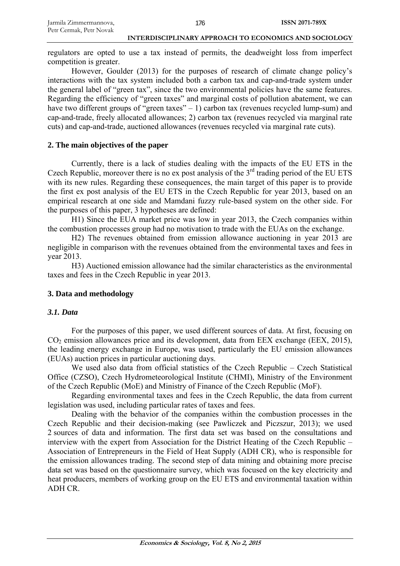regulators are opted to use a tax instead of permits, the deadweight loss from imperfect competition is greater.

However, Goulder (2013) for the purposes of research of climate change policy's interactions with the tax system included both a carbon tax and cap-and-trade system under the general label of "green tax", since the two environmental policies have the same features. Regarding the efficiency of "green taxes" and marginal costs of pollution abatement, we can have two different groups of "green taxes"  $-1$ ) carbon tax (revenues recycled lump-sum) and cap-and-trade, freely allocated allowances; 2) carbon tax (revenues recycled via marginal rate cuts) and cap-and-trade, auctioned allowances (revenues recycled via marginal rate cuts).

## **2. The main objectives of the paper**

Currently, there is a lack of studies dealing with the impacts of the EU ETS in the Czech Republic, moreover there is no ex post analysis of the  $3<sup>rd</sup>$  trading period of the EU ETS with its new rules. Regarding these consequences, the main target of this paper is to provide the first ex post analysis of the EU ETS in the Czech Republic for year 2013, based on an empirical research at one side and Mamdani fuzzy rule-based system on the other side. For the purposes of this paper, 3 hypotheses are defined:

H1) Since the EUA market price was low in year 2013, the Czech companies within the combustion processes group had no motivation to trade with the EUAs on the exchange.

H2) The revenues obtained from emission allowance auctioning in year 2013 are negligible in comparison with the revenues obtained from the environmental taxes and fees in year 2013.

H3) Auctioned emission allowance had the similar characteristics as the environmental taxes and fees in the Czech Republic in year 2013.

## **3. Data and methodology**

#### *3.1. Data*

For the purposes of this paper, we used different sources of data. At first, focusing on  $CO<sub>2</sub>$  emission allowances price and its development, data from EEX exchange (EEX, 2015), the leading energy exchange in Europe, was used, particularly the EU emission allowances (EUAs) auction prices in particular auctioning days.

We used also data from official statistics of the Czech Republic – Czech Statistical Office (CZSO), Czech Hydrometeorological Institute (CHMI), Ministry of the Environment of the Czech Republic (MoE) and Ministry of Finance of the Czech Republic (MoF).

Regarding environmental taxes and fees in the Czech Republic, the data from current legislation was used, including particular rates of taxes and fees.

Dealing with the behavior of the companies within the combustion processes in the Czech Republic and their decision-making (see Pawliczek and Piczszur, 2013); we used 2 sources of data and information. The first data set was based on the consultations and interview with the expert from Association for the District Heating of the Czech Republic – Association of Entrepreneurs in the Field of Heat Supply (ADH CR), who is responsible for the emission allowances trading. The second step of data mining and obtaining more precise data set was based on the questionnaire survey, which was focused on the key electricity and heat producers, members of working group on the EU ETS and environmental taxation within ADH CR.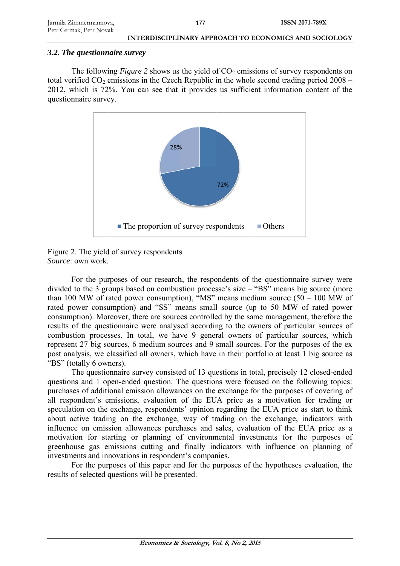#### 3.2. The questionnaire survey

The following *Figure* 2 shows us the yield of  $CO<sub>2</sub>$  emissions of survey respondents on total verified  $CO_2$  emissions in the Czech Republic in the whole second trading period  $2008 -$ 2012, which is 72%. You can see that it provides us sufficient information content of the questionnaire survey.



Figure 2. The yield of survey respondents Source: own work.

Solution E own work.<br>For the purposes of our research, the respondents of the questionnaire survey were divided to the 3 groups based on combustion processe's size – "BS" means big source (more than 100 MW of rated power consumption), "MS" means medium source  $(50 - 100)$  MW of rated power consumption) and "SS" means small source (up to 50 MW of rated power consumption). Moreover, there are sources controlled by the same management, therefore the results of the questionnaire were analysed according to the owners of particular sources of combustion processes. In total, we have 9 general owners of particular sources, which represent 27 big sources, 6 medium sources and 9 small sources. For the purposes of the ex post analysis, we classified all owners, which have in their portfolio at least 1 big source as "BS" (totally 6 owners).

The questionnaire survey consisted of 13 questions in total, precisely 12 closed-ended questions and 1 open-ended question. The questions were focused on the following topics: purchases of additional emission allowances on the exchange for the purposes of covering of all respondent's emissions, evaluation of the EUA price as a motivation for trading or speculation on the exchange, respondents' opinion regarding the EUA price as start to think about active trading on the exchange, way of trading on the exchange, indicators with influence on emission allowances purchases and sales, evaluation of the EUA price as a motivation for starting or planning of environmental investments for the purposes of greenhouse gas emissions cutting and finally indicators with influence on planning of investments and innovations in respondent's companies.

For the purposes of this paper and for the purposes of the hypotheses evaluation, the results of selected questions will be presented.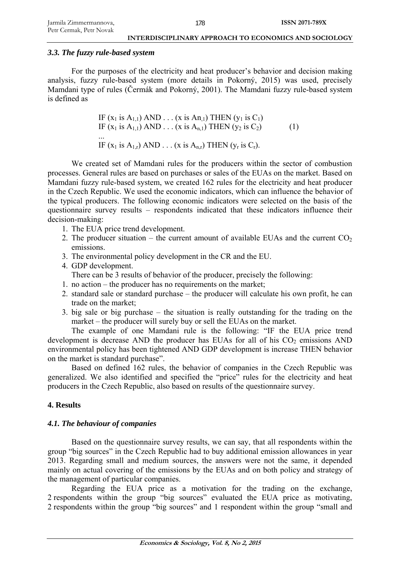### *3.3. The fuzzy rule-based system*

For the purposes of the electricity and heat producer's behavior and decision making analysis, fuzzy rule-based system (more details in Pokorný, 2015) was used, precisely Mamdani type of rules (Čermák and Pokorný, 2001). The Mamdani fuzzy rule-based system is defined as

IF (x1 is A1,1) AND . . . (x is An,1) THEN (y1 is C1) IF (x1 is A1,1) AND . . . (x is An,1) THEN (y2 is C2) (1) ... IF (x1 is A1,r) AND . . . (x is An,r) THEN (yr is Cr).

We created set of Mamdani rules for the producers within the sector of combustion processes. General rules are based on purchases or sales of the EUAs on the market. Based on Mamdani fuzzy rule-based system, we created 162 rules for the electricity and heat producer in the Czech Republic. We used the economic indicators, which can influence the behavior of the typical producers. The following economic indicators were selected on the basis of the questionnaire survey results – respondents indicated that these indicators influence their decision-making:

- 1. The EUA price trend development.
- 2. The producer situation the current amount of available EUAs and the current  $CO<sub>2</sub>$ emissions.
- 3. The environmental policy development in the CR and the EU.
- 4. GDP development.

There can be 3 results of behavior of the producer, precisely the following:

- 1. no action the producer has no requirements on the market;
- 2. standard sale or standard purchase the producer will calculate his own profit, he can trade on the market;
- 3. big sale or big purchase the situation is really outstanding for the trading on the market – the producer will surely buy or sell the EUAs on the market.

The example of one Mamdani rule is the following: "IF the EUA price trend development is decrease AND the producer has EUAs for all of his  $CO<sub>2</sub>$  emissions AND environmental policy has been tightened AND GDP development is increase THEN behavior on the market is standard purchase".

Based on defined 162 rules, the behavior of companies in the Czech Republic was generalized. We also identified and specified the "price" rules for the electricity and heat producers in the Czech Republic, also based on results of the questionnaire survey.

## **4. Results**

## *4.1. The behaviour of companies*

Based on the questionnaire survey results, we can say, that all respondents within the group "big sources" in the Czech Republic had to buy additional emission allowances in year 2013. Regarding small and medium sources, the answers were not the same, it depended mainly on actual covering of the emissions by the EUAs and on both policy and strategy of the management of particular companies.

Regarding the EUA price as a motivation for the trading on the exchange, 2 respondents within the group "big sources" evaluated the EUA price as motivating, 2 respondents within the group "big sources" and 1 respondent within the group "small and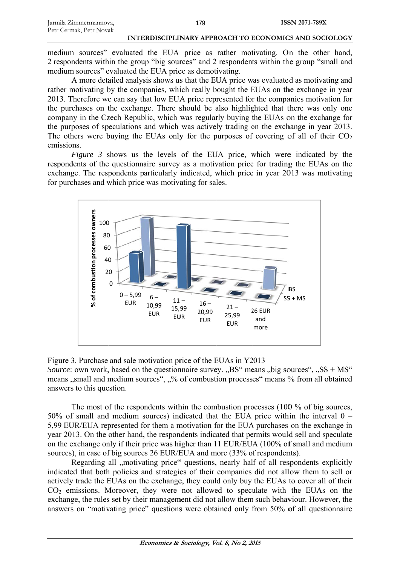# <sup>179</sup>
ISSN 2071-789X<br>
INTERDISCIPLINARY APPROACH TO ECONOMICS AND SOCIOLOGY

medium sources" evaluated the EUA price as rather motivating. On the other hand, 2 respondents within the group "big sources" and 2 respondents within the group "small and medium sources" evaluated the EUA price as demotivating.

A more detailed analysis shows us that the EUA price was evaluated as motivating and rather motivating by the companies, which really bought the EUAs on the exchange in year 2013. Therefore we can say that low EUA price represented for the companies motivation for the purchases on the exchange. There should be also highlighted that there was only one company in the Czech Republic, which was regularly buying the EUAs on the exchange for the purposes of speculations and which was actively trading on the exchange in year 2013. The others were buying the EUAs only for the purposes of covering of all of their  $CO<sub>2</sub>$ emissio ns.

*Figure 3* shows us the levels of the EUA price, which were indicated by the respondents of the questionnaire survey as a motivation price for trading the EUAs on the exchange. The respondents particularly indicated, which price in year 2013 was motivating for purchases and which price was motivating for sales.



Figure 3. Purchase and sale motivation price of the EUAs in Y2013 *Source*: own work, based on the questionnaire survey. "BS" means "big sources", "SS + MS" means, small and medium sources", "% of combustion processes" means % from all obtained answers to this question.

The most of the respondents within the combustion processes (100  $\%$  of big sources, 50% of small and medium sources) indicated that the EUA price within the interval  $0 -$ 5,99 EUR/EUA represented for them a motivation for the EUA purchases on the exchange in year 2013. On the other hand, the respondents indicated that permits would sell and speculate on the exchange only if their price was higher than 11 EUR/EUA (100% of small and medium sources), in case of big sources 26 EUR/EUA and more (33% of respondents).

Regarding all "motivating price" questions, nearly half of all respondents explicitly indicated that both policies and strategies of their companies did not allow them to sell or actively trade the EUAs on the exchange, they could only buy the EUAs to cover all of their  $CO<sub>2</sub>$  emissions. Moreover, they were not allowed to speculate with the EUAs on the exchange, the rules set by their management did not allow them such behaviour. However, the answers on "motivating price" questions were obtained only from 50% of all questionnaire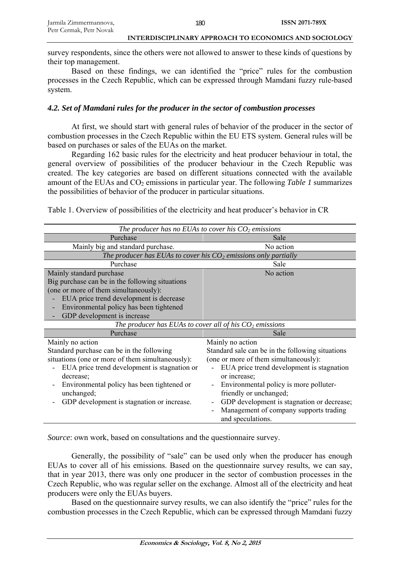survey respondents, since the others were not allowed to answer to these kinds of questions by their top management.

Based on these findings, we can identified the "price" rules for the combustion processes in the Czech Republic, which can be expressed through Mamdani fuzzy rule-based system.

## *4.2. Set of Mamdani rules for the producer in the sector of combustion processes*

At first, we should start with general rules of behavior of the producer in the sector of combustion processes in the Czech Republic within the EU ETS system. General rules will be based on purchases or sales of the EUAs on the market.

Regarding 162 basic rules for the electricity and heat producer behaviour in total, the general overview of possibilities of the producer behaviour in the Czech Republic was created. The key categories are based on different situations connected with the available amount of the EUAs and CO<sub>2</sub> emissions in particular year. The following *Table 1* summarizes the possibilities of behavior of the producer in particular situations.

Table 1. Overview of possibilities of the electricity and heat producer's behavior in CR

| The producer has no EUAs to cover his $CO2$ emissions                                                                                                                                                                                                                                    |                                                                                                                                                                                                                                                                                                                                                                                             |  |  |  |  |
|------------------------------------------------------------------------------------------------------------------------------------------------------------------------------------------------------------------------------------------------------------------------------------------|---------------------------------------------------------------------------------------------------------------------------------------------------------------------------------------------------------------------------------------------------------------------------------------------------------------------------------------------------------------------------------------------|--|--|--|--|
| Purchase                                                                                                                                                                                                                                                                                 | Sale                                                                                                                                                                                                                                                                                                                                                                                        |  |  |  |  |
| Mainly big and standard purchase.                                                                                                                                                                                                                                                        | No action                                                                                                                                                                                                                                                                                                                                                                                   |  |  |  |  |
| The producer has EUAs to cover his $CO2$ emissions only partially                                                                                                                                                                                                                        |                                                                                                                                                                                                                                                                                                                                                                                             |  |  |  |  |
| Purchase                                                                                                                                                                                                                                                                                 | Sale                                                                                                                                                                                                                                                                                                                                                                                        |  |  |  |  |
| Mainly standard purchase<br>Big purchase can be in the following situations<br>(one or more of them simultaneously):<br>EUA price trend development is decrease<br>Environmental policy has been tightened<br>GDP development is increase                                                | No action                                                                                                                                                                                                                                                                                                                                                                                   |  |  |  |  |
|                                                                                                                                                                                                                                                                                          | The producer has EUAs to cover all of his $CO2$ emissions                                                                                                                                                                                                                                                                                                                                   |  |  |  |  |
| Purchase                                                                                                                                                                                                                                                                                 | Sale                                                                                                                                                                                                                                                                                                                                                                                        |  |  |  |  |
| Mainly no action<br>Standard purchase can be in the following<br>situations (one or more of them simultaneously):<br>EUA price trend development is stagnation or<br>decrease;<br>Environmental policy has been tightened or<br>unchanged;<br>GDP development is stagnation or increase. | Mainly no action<br>Standard sale can be in the following situations<br>(one or more of them simultaneously):<br>EUA price trend development is stagnation<br>or increase;<br>Environmental policy is more polluter-<br>$\qquad \qquad \blacksquare$<br>friendly or unchanged;<br>GDP development is stagnation or decrease;<br>Management of company supports trading<br>and speculations. |  |  |  |  |

*Source*: own work, based on consultations and the questionnaire survey.

Generally, the possibility of "sale" can be used only when the producer has enough EUAs to cover all of his emissions. Based on the questionnaire survey results, we can say, that in year 2013, there was only one producer in the sector of combustion processes in the Czech Republic, who was regular seller on the exchange. Almost all of the electricity and heat producers were only the EUAs buyers.

Based on the questionnaire survey results, we can also identify the "price" rules for the combustion processes in the Czech Republic, which can be expressed through Mamdani fuzzy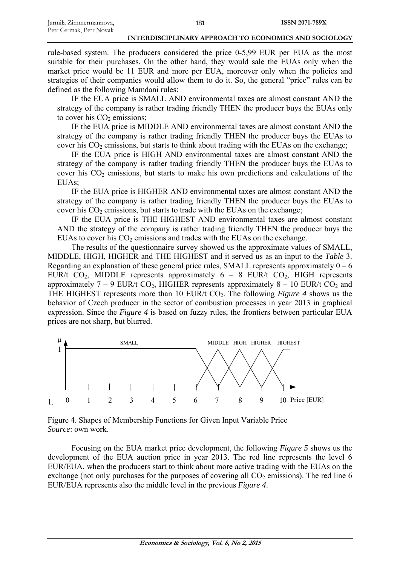rule-based system. The producers considered the price 0-5,99 EUR per EUA as the most suitable for their purchases. On the other hand, they would sale the EUAs only when the market price would be 11 EUR and more per EUA, moreover only when the policies and strategies of their companies would allow them to do it. So, the general "price" rules can be defined as the following Mamdani rules:

IF the EUA price is SMALL AND environmental taxes are almost constant AND the strategy of the company is rather trading friendly THEN the producer buys the EUAs only to cover his  $CO<sub>2</sub>$  emissions;

IF the EUA price is MIDDLE AND environmental taxes are almost constant AND the strategy of the company is rather trading friendly THEN the producer buys the EUAs to cover his  $CO<sub>2</sub>$  emissions, but starts to think about trading with the EUAs on the exchange;

IF the EUA price is HIGH AND environmental taxes are almost constant AND the strategy of the company is rather trading friendly THEN the producer buys the EUAs to cover his  $CO<sub>2</sub>$  emissions, but starts to make his own predictions and calculations of the EUAs;

IF the EUA price is HIGHER AND environmental taxes are almost constant AND the strategy of the company is rather trading friendly THEN the producer buys the EUAs to cover his  $CO<sub>2</sub>$  emissions, but starts to trade with the EUAs on the exchange;

IF the EUA price is THE HIGHEST AND environmental taxes are almost constant AND the strategy of the company is rather trading friendly THEN the producer buys the EUAs to cover his  $CO<sub>2</sub>$  emissions and trades with the EUAs on the exchange.

The results of the questionnaire survey showed us the approximate values of SMALL, MIDDLE, HIGH, HIGHER and THE HIGHEST and it served us as an input to the *Table* 3. Regarding an explanation of these general price rules, SMALL represents approximately  $0 - 6$ EUR/t  $CO<sub>2</sub>$ , MIDDLE represents approximately 6 – 8 EUR/t  $CO<sub>2</sub>$ , HIGH represents approximately 7 – 9 EUR/t CO<sub>2</sub>, HIGHER represents approximately 8 – 10 EUR/t CO<sub>2</sub> and THE HIGHEST represents more than 10 EUR/t CO<sub>2</sub>. The following *Figure 4* shows us the behavior of Czech producer in the sector of combustion processes in year 2013 in graphical expression. Since the *Figure 4* is based on fuzzy rules, the frontiers between particular EUA prices are not sharp, but blurred.



Figure 4. Shapes of Membership Functions for Given Input Variable Price *Source*: own work.

Focusing on the EUA market price development, the following *Figure 5* shows us the development of the EUA auction price in year 2013. The red line represents the level 6 EUR/EUA, when the producers start to think about more active trading with the EUAs on the exchange (not only purchases for the purposes of covering all  $CO<sub>2</sub>$  emissions). The red line 6 EUR/EUA represents also the middle level in the previous *Figure 4*.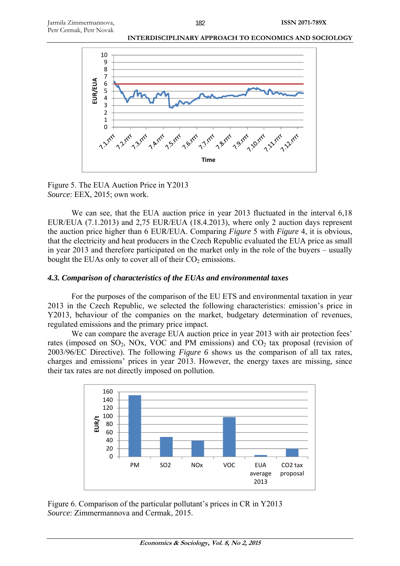

Figure 5. The EUA Auction Price in Y2013 *Source*: EEX, 2015; own work.

We can see, that the EUA auction price in year 2013 fluctuated in the interval 6,18 EUR/EUA (7.1.2013) and 2,75 EUR/EUA (18.4.2013), where only 2 auction days represent the auction price higher than 6 EUR/EUA. Comparing *Figure* 5 with *Figure* 4, it is obvious, that the electricity and heat producers in the Czech Republic evaluated the EUA price as small in year 2013 and therefore participated on the market only in the role of the buyers – usually bought the EUAs only to cover all of their  $CO<sub>2</sub>$  emissions.

#### *4.3. Comparison of characteristics of the EUAs and environmental taxes*

For the purposes of the comparison of the EU ETS and environmental taxation in year 2013 in the Czech Republic, we selected the following characteristics: emission's price in Y2013, behaviour of the companies on the market, budgetary determination of revenues, regulated emissions and the primary price impact.

We can compare the average EUA auction price in year 2013 with air protection fees' rates (imposed on  $SO_2$ , NOx, VOC and PM emissions) and  $CO_2$  tax proposal (revision of 2003/96/EC Directive). The following *Figure 6* shows us the comparison of all tax rates, charges and emissions' prices in year 2013. However, the energy taxes are missing, since their tax rates are not directly imposed on pollution.



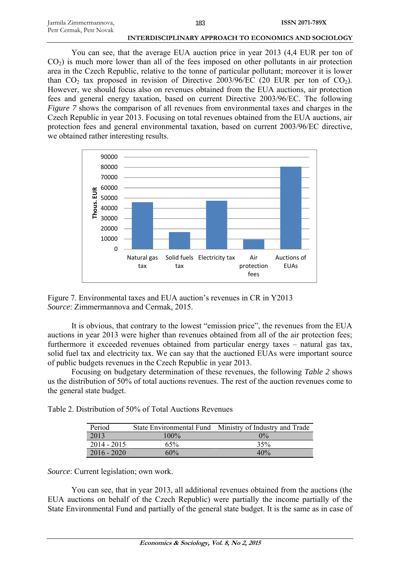| Jarmila Zimmermannova,  | 183 | <b>ISSN 2071-789X</b> |
|-------------------------|-----|-----------------------|
| Petr Cermak, Petr Novak |     |                       |

You can see, that the average EUA auction price in year 2013 (4,4 EUR per ton of  $CO<sub>2</sub>$ ) is much more lower than all of the fees imposed on other pollutants in air protection area in the Czech Republic, relative to the tonne of particular pollutant; moreover it is lower than  $CO<sub>2</sub>$  tax proposed in revision of Directive 2003/96/EC (20 EUR per ton of  $CO<sub>2</sub>$ ). However, we should focus also on revenues obtained from the EUA auctions, air protection fees and general energy taxation, based on current Directive 2003/96/EC. The following *Figure* 7 shows the comparison of all revenues from environmental taxes and charges in the Czech Republic in year 2013. Focusing on total revenues obtained from the EUA auctions, air protection fees and general environmental taxation, based on current 2003/96/EC directive, we obtained rather interesting results.



Figure 7. Environmental taxes and EUA auction's revenues in CR in Y2013 *Source*: Zimmermannova and Cermak, 2015.

It is obvious, that contrary to the lowest "emission price", the revenues from the EUA auctions in year 2013 were higher than revenues obtained from all of the air protection fees; furthermore it exceeded revenues obtained from particular energy taxes – natural gas tax, solid fuel tax and electricity tax. We can say that the auctioned EUAs were important source of public budgets revenues in the Czech Republic in year 2013.

Focusing on budgetary determination of these revenues, the following *Table 2* shows us the distribution of 50% of total auctions revenues. The rest of the auction revenues come to the general state budget.

Table 2. Distribution of 50% of Total Auctions Revenues

| Period        |         | State Environmental Fund Ministry of Industry and Trade |
|---------------|---------|---------------------------------------------------------|
| 2013          | $100\%$ | $0\%$                                                   |
| $2014 - 2015$ | 65%     | 35%                                                     |
| $2016 - 2020$ | 60%     | 40%                                                     |

*Source*: Current legislation; own work.

You can see, that in year 2013, all additional revenues obtained from the auctions (the EUA auctions on behalf of the Czech Republic) were partially the income partially of the State Environmental Fund and partially of the general state budget. It is the same as in case of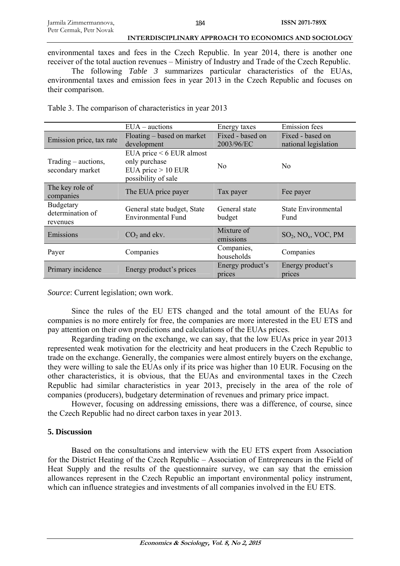environmental taxes and fees in the Czech Republic. In year 2014, there is another one receiver of the total auction revenues – Ministry of Industry and Trade of the Czech Republic.

The following *Table 3* summarizes particular characteristics of the EUAs, environmental taxes and emission fees in year 2013 in the Czech Republic and focuses on their comparison.

Table 3. The comparison of characteristics in year 2013

|                                                  | $EUA - \text{auctions}$                                                                  | Energy taxes                   | <b>Emission</b> fees                     |
|--------------------------------------------------|------------------------------------------------------------------------------------------|--------------------------------|------------------------------------------|
| Emission price, tax rate                         | Floating – based on market<br>development                                                | Fixed - based on<br>2003/96/EC | Fixed - based on<br>national legislation |
| Trading – auctions,<br>secondary market          | EUA price < 6 EUR almost<br>only purchase<br>EUA price $> 10$ EUR<br>possibility of sale | N <sub>o</sub>                 | No                                       |
| The key role of<br>companies                     | The EUA price payer                                                                      | Tax payer                      | Fee payer                                |
| <b>Budgetary</b><br>determination of<br>revenues | General state budget, State<br><b>Environmental Fund</b>                                 | General state<br>budget        | State Environmental<br>Fund              |
| Emissions                                        | $CO2$ and ekv.                                                                           | Mixture of<br>emissions        | $SO2$ , NO <sub>x</sub> , VOC, PM        |
| Payer                                            | Companies                                                                                | Companies,<br>households       | Companies                                |
| Primary incidence                                | Energy product's prices                                                                  | Energy product's<br>prices     | Energy product's<br>prices               |

*Source*: Current legislation; own work.

Since the rules of the EU ETS changed and the total amount of the EUAs for companies is no more entirely for free, the companies are more interested in the EU ETS and pay attention on their own predictions and calculations of the EUAs prices.

Regarding trading on the exchange, we can say, that the low EUAs price in year 2013 represented weak motivation for the electricity and heat producers in the Czech Republic to trade on the exchange. Generally, the companies were almost entirely buyers on the exchange, they were willing to sale the EUAs only if its price was higher than 10 EUR. Focusing on the other characteristics, it is obvious, that the EUAs and environmental taxes in the Czech Republic had similar characteristics in year 2013, precisely in the area of the role of companies (producers), budgetary determination of revenues and primary price impact.

However, focusing on addressing emissions, there was a difference, of course, since the Czech Republic had no direct carbon taxes in year 2013.

## **5. Discussion**

Based on the consultations and interview with the EU ETS expert from Association for the District Heating of the Czech Republic – Association of Entrepreneurs in the Field of Heat Supply and the results of the questionnaire survey, we can say that the emission allowances represent in the Czech Republic an important environmental policy instrument, which can influence strategies and investments of all companies involved in the EU ETS.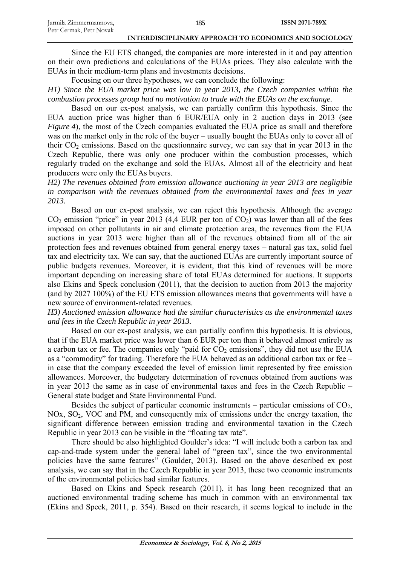Since the EU ETS changed, the companies are more interested in it and pay attention on their own predictions and calculations of the EUAs prices. They also calculate with the EUAs in their medium-term plans and investments decisions.

Focusing on our three hypotheses, we can conclude the following:

*H1) Since the EUA market price was low in year 2013, the Czech companies within the combustion processes group had no motivation to trade with the EUAs on the exchange.* 

Based on our ex-post analysis, we can partially confirm this hypothesis. Since the EUA auction price was higher than 6 EUR/EUA only in 2 auction days in 2013 (see *Figure 4*), the most of the Czech companies evaluated the EUA price as small and therefore was on the market only in the role of the buyer – usually bought the EUAs only to cover all of their  $CO<sub>2</sub>$  emissions. Based on the questionnaire survey, we can say that in year 2013 in the Czech Republic, there was only one producer within the combustion processes, which regularly traded on the exchange and sold the EUAs. Almost all of the electricity and heat producers were only the EUAs buyers.

*H2) The revenues obtained from emission allowance auctioning in year 2013 are negligible in comparison with the revenues obtained from the environmental taxes and fees in year 2013.* 

Based on our ex-post analysis, we can reject this hypothesis. Although the average  $CO<sub>2</sub>$  emission "price" in year 2013 (4,4 EUR per ton of  $CO<sub>2</sub>$ ) was lower than all of the fees imposed on other pollutants in air and climate protection area, the revenues from the EUA auctions in year 2013 were higher than all of the revenues obtained from all of the air protection fees and revenues obtained from general energy taxes – natural gas tax, solid fuel tax and electricity tax. We can say, that the auctioned EUAs are currently important source of public budgets revenues. Moreover, it is evident, that this kind of revenues will be more important depending on increasing share of total EUAs determined for auctions. It supports also Ekins and Speck conclusion (2011), that the decision to auction from 2013 the majority (and by 2027 100%) of the EU ETS emission allowances means that governments will have a new source of environment-related revenues.

*H3) Auctioned emission allowance had the similar characteristics as the environmental taxes and fees in the Czech Republic in year 2013.* 

Based on our ex-post analysis, we can partially confirm this hypothesis. It is obvious, that if the EUA market price was lower than 6 EUR per ton than it behaved almost entirely as a carbon tax or fee. The companies only "paid for  $CO<sub>2</sub>$  emissions", they did not use the EUA as a "commodity" for trading. Therefore the EUA behaved as an additional carbon tax or fee – in case that the company exceeded the level of emission limit represented by free emission allowances. Moreover, the budgetary determination of revenues obtained from auctions was in year 2013 the same as in case of environmental taxes and fees in the Czech Republic – General state budget and State Environmental Fund.

Besides the subject of particular economic instruments – particular emissions of  $CO<sub>2</sub>$ , NOx, SO2, VOC and PM, and consequently mix of emissions under the energy taxation, the significant difference between emission trading and environmental taxation in the Czech Republic in year 2013 can be visible in the "floating tax rate".

There should be also highlighted Goulder's idea: "I will include both a carbon tax and cap-and-trade system under the general label of "green tax", since the two environmental policies have the same features" (Goulder, 2013). Based on the above described ex post analysis, we can say that in the Czech Republic in year 2013, these two economic instruments of the environmental policies had similar features.

Based on Ekins and Speck research (2011), it has long been recognized that an auctioned environmental trading scheme has much in common with an environmental tax (Ekins and Speck, 2011, p. 354). Based on their research, it seems logical to include in the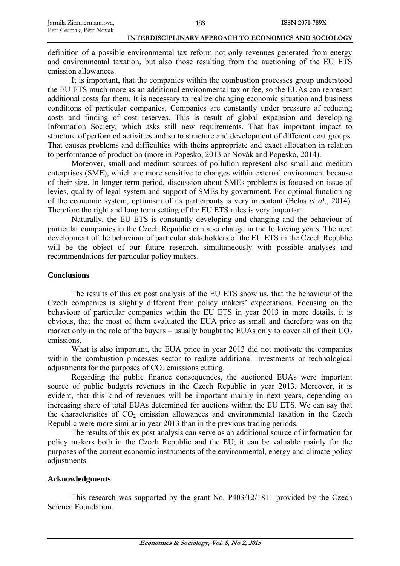definition of a possible environmental tax reform not only revenues generated from energy and environmental taxation, but also those resulting from the auctioning of the EU ETS emission allowances.

It is important, that the companies within the combustion processes group understood the EU ETS much more as an additional environmental tax or fee, so the EUAs can represent additional costs for them. It is necessary to realize changing economic situation and business conditions of particular companies. Companies are constantly under pressure of reducing costs and finding of cost reserves. This is result of global expansion and developing Information Society, which asks still new requirements. That has important impact to structure of performed activities and so to structure and development of different cost groups. That causes problems and difficulties with theirs appropriate and exact allocation in relation to performance of production (more in Popesko, 2013 or Novák and Popesko, 2014).

Moreover, small and medium sources of pollution represent also small and medium enterprises (SME), which are more sensitive to changes within external environment because of their size. In longer term period, discussion about SMEs problems is focused on issue of levies, quality of legal system and support of SMEs by government. For optimal functioning of the economic system, optimism of its participants is very important (Belas *et al*., 2014). Therefore the right and long term setting of the EU ETS rules is very important.

Naturally, the EU ETS is constantly developing and changing and the behaviour of particular companies in the Czech Republic can also change in the following years. The next development of the behaviour of particular stakeholders of the EU ETS in the Czech Republic will be the object of our future research, simultaneously with possible analyses and recommendations for particular policy makers.

## **Conclusions**

The results of this ex post analysis of the EU ETS show us, that the behaviour of the Czech companies is slightly different from policy makers' expectations. Focusing on the behaviour of particular companies within the EU ETS in year 2013 in more details, it is obvious, that the most of them evaluated the EUA price as small and therefore was on the market only in the role of the buyers – usually bought the EUAs only to cover all of their  $CO<sub>2</sub>$ emissions.

What is also important, the EUA price in year 2013 did not motivate the companies within the combustion processes sector to realize additional investments or technological adjustments for the purposes of  $CO<sub>2</sub>$  emissions cutting.

Regarding the public finance consequences, the auctioned EUAs were important source of public budgets revenues in the Czech Republic in year 2013. Moreover, it is evident, that this kind of revenues will be important mainly in next years, depending on increasing share of total EUAs determined for auctions within the EU ETS. We can say that the characteristics of  $CO<sub>2</sub>$  emission allowances and environmental taxation in the Czech Republic were more similar in year 2013 than in the previous trading periods.

The results of this ex post analysis can serve as an additional source of information for policy makers both in the Czech Republic and the EU; it can be valuable mainly for the purposes of the current economic instruments of the environmental, energy and climate policy adjustments.

## **Acknowledgments**

This research was supported by the grant No. P403/12/1811 provided by the Czech Science Foundation.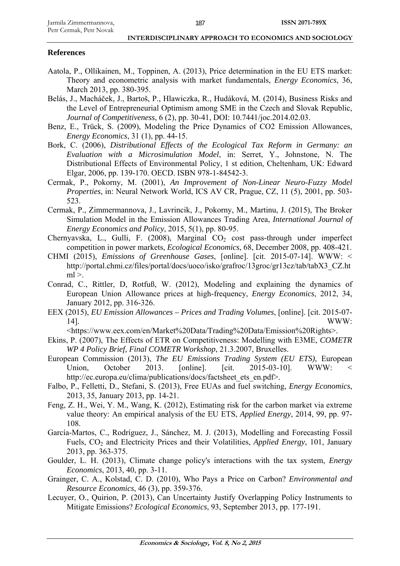## **References**

- Aatola, P., Ollikainen, M., Toppinen, A. (2013), Price determination in the EU ETS market: Theory and econometric analysis with market fundamentals, *Energy Economics*, 36, March 2013, pp. 380-395.
- Belás, J., Macháček, J., Bartoš, P., Hlawiczka, R., Hudáková, M. (2014), Business Risks and the Level of Entrepreneurial Optimism among SME in the Czech and Slovak Republic, *Journal of Competitiveness*, 6 (2), pp. 30-41, DOI: 10.7441/joc.2014.02.03.
- Benz, E., Trück, S. (2009), Modeling the Price Dynamics of CO2 Emission Allowances, *Energy Economics*, 31 (1), pp. 44-15.
- Bork, C. (2006), *Distributional Effects of the Ecological Tax Reform in Germany: an Evaluation with a Microsimulation Model*, in: Serret, Y., Johnstone, N. The Distributional Effects of Environmental Policy, 1 st edition, Cheltenham, UK: Edward Elgar, 2006, pp. 139-170. OECD. ISBN 978-1-84542-3.
- Cermak, P., Pokorny, M. (2001), *An Improvement of Non-Linear Neuro-Fuzzy Model Properties*, in: Neural Network World, ICS AV CR, Prague, CZ, 11 (5), 2001, pp. 503- 523.
- Cermak, P., Zimmermannova, J., Lavrincik, J., Pokorny, M., Martinu, J. (2015), The Broker Simulation Model in the Emission Allowances Trading Area, *International Journal of Energy Economics and Policy*, 2015, 5(1), pp. 80-95.
- Chernyavska, L., Gulli, F. (2008), Marginal  $CO<sub>2</sub>$  cost pass-through under imperfect competition in power markets, *Ecological Economics*, 68, December 2008, pp. 408-421.
- CHMI (2015), *Emissions of Greenhouse Gases*, [online]. [cit. 2015-07-14]. WWW: < http://portal.chmi.cz/files/portal/docs/uoco/isko/grafroc/13groc/gr13cz/tab/tabX3\_CZ.ht  $ml$   $>$ .
- Conrad, C., Rittler, D, Rotfuß, W. (2012), Modeling and explaining the dynamics of European Union Allowance prices at high-frequency, *Energy Economics*, 2012, 34, January 2012, pp. 316-326.
- EEX (2015), *EU Emission Allowances Prices and Trading Volumes*, [online]. [cit. 2015-07- 14]. WWW:

<https://www.eex.com/en/Market%20Data/Trading%20Data/Emission%20Rights>.

- Ekins, P. (2007), The Effects of ETR on Competitiveness: Modelling with E3ME, *COMETR WP 4 Policy Brief, Final COMETR Workshop*, 21.3.2007, Bruxelles.
- European Commission (2013), *The EU Emissions Trading System (EU ETS)*, European Union, October 2013. [online]. [cit. 2015-03-10]. WWW: http://ec.europa.eu/clima/publications/docs/factsheet\_ets\_en.pdf>.
- Falbo, P., Felletti, D., Stefani, S. (2013), Free EUAs and fuel switching, *Energy Economics*, 2013, 35, January 2013, pp. 14-21.
- Feng, Z. H., Wei, Y. M., Wang, K. (2012), Estimating risk for the carbon market via extreme value theory: An empirical analysis of the EU ETS, *Applied Energy*, 2014, 99, pp. 97- 108.
- García-Martos, C., Rodríguez, J., Sánchez, M. J. (2013), Modelling and Forecasting Fossil Fuels, CO2 and Electricity Prices and their Volatilities, *Applied Energy*, 101, January 2013, pp. 363-375.
- Goulder, L. H. (2013), Climate change policy's interactions with the tax system, *Energy Economics*, 2013, 40, pp. 3-11.
- Grainger, C. A., Kolstad, C. D. (2010), Who Pays a Price on Carbon? *Environmental and Resource Economics*, 46 (3), pp. 359-376.
- Lecuyer, O., Quirion, P. (2013), Can Uncertainty Justify Overlapping Policy Instruments to Mitigate Emissions? *Ecological Economics*, 93, September 2013, pp. 177-191.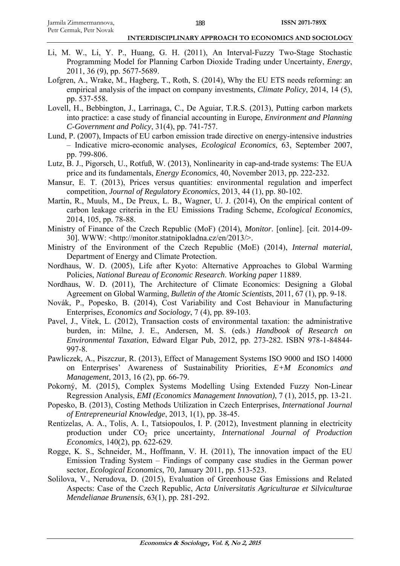- Li, M. W., Li, Y. P., Huang, G. H. (2011), An Interval-Fuzzy Two-Stage Stochastic Programming Model for Planning Carbon Dioxide Trading under Uncertainty, *Energy*, 2011, 36 (9), pp. 5677-5689.
- Lofgren, A., Wrake, M., Hagberg, T., Roth, S. (2014), Why the EU ETS needs reforming: an empirical analysis of the impact on company investments, *Climate Policy*, 2014, 14 (5), pp. 537-558.
- Lovell, H., Bebbington, J., Larrinaga, C., De Aguiar, T.R.S. (2013), Putting carbon markets into practice: a case study of financial accounting in Europe, *Environment and Planning C-Government and Policy*, 31(4), pp. 741-757.
- Lund, P. (2007), Impacts of EU carbon emission trade directive on energy-intensive industries – Indicative micro-economic analyses, *Ecological Economics*, 63, September 2007, pp. 799-806.
- Lutz, B. J., Pigorsch, U., Rotfuß, W. (2013), Nonlinearity in cap-and-trade systems: The EUA price and its fundamentals, *Energy Economics*, 40, November 2013, pp. 222-232.
- Mansur, E. T. (2013), Prices versus quantities: environmental regulation and imperfect competition, *Journal of Regulatory Economics*, 2013, 44 (1), pp. 80-102.
- Martin, R., Muuls, M., De Preux, L. B., Wagner, U. J. (2014), On the empirical content of carbon leakage criteria in the EU Emissions Trading Scheme, *Ecological Economics*, 2014, 105, pp. 78-88.
- Ministry of Finance of the Czech Republic (MoF) (2014), *Monitor*. [online]. [cit. 2014-09- 30]. WWW: <http://monitor.statnipokladna.cz/en/2013/>.
- Ministry of the Environment of the Czech Republic (MoE) (2014), *Internal material*, Department of Energy and Climate Protection.
- Nordhaus, W. D. (2005), Life after Kyoto: Alternative Approaches to Global Warming Policies, *National Bureau of Economic Research*. *Working paper* 11889.
- Nordhaus, W. D. (2011), The Architecture of Climate Economics: Designing a Global Agreement on Global Warming, *Bulletin of the Atomic Scientists*, 2011, 67 (1), pp. 9-18.
- Novák, P., Popesko, B. (2014), Cost Variability and Cost Behaviour in Manufacturing Enterprises, *Economics and Sociology*, 7 (4), pp. 89-103.
- Pavel, J., Vitek, L. (2012), Transaction costs of environmental taxation: the administrative burden, in: Milne, J. E., Andersen, M. S. (eds.) *Handbook of Research on Environmental Taxation*, Edward Elgar Pub, 2012, pp. 273-282. ISBN 978-1-84844- 997-8.
- Pawliczek, A., Piszczur, R. (2013), Effect of Management Systems ISO 9000 and ISO 14000 on Enterprises' Awareness of Sustainability Priorities, *E+M Economics and Management*, 2013, 16 (2), pp. 66-79.
- Pokorný, M. (2015), Complex Systems Modelling Using Extended Fuzzy Non-Linear Regression Analysis, *EMI (Economics Management Innovation)*, 7 (1), 2015, pp. 13-21.
- Popesko, B. (2013), Costing Methods Utilization in Czech Enterprises, *International Journal of Entrepreneurial Knowledge*, 2013, 1(1), pp. 38-45.
- Rentizelas, A. A., Tolis, A. I., Tatsiopoulos, I. P. (2012), Investment planning in electricity production under CO2 price uncertainty, *International Journal of Production Economics*, 140(2), pp. 622-629.
- Rogge, K. S., Schneider, M., Hoffmann, V. H. (2011), The innovation impact of the EU Emission Trading System – Findings of company case studies in the German power sector, *Ecological Economics*, 70, January 2011, pp. 513-523.
- Solilova, V., Nerudova, D. (2015), Evaluation of Greenhouse Gas Emissions and Related Aspects: Case of the Czech Republic, *Acta Universitatis Agriculturae et Silviculturae Mendelianae Brunensis*, 63(1), pp. 281-292.